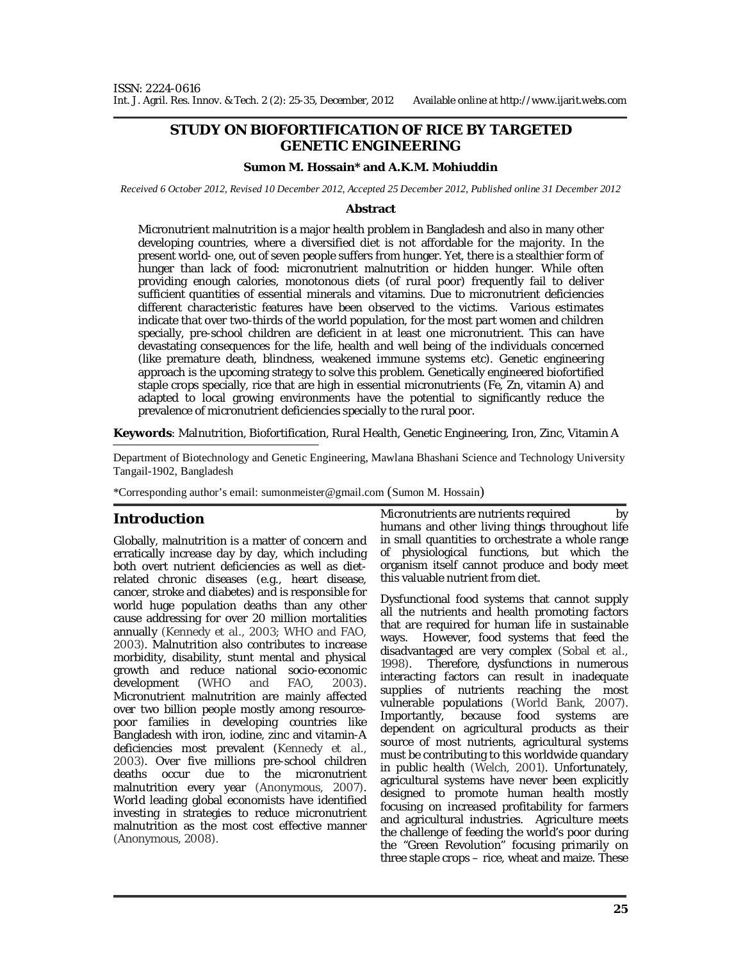# **STUDY ON BIOFORTIFICATION OF RICE BY TARGETED GENETIC ENGINEERING**

### **Sumon M. Hossain\* and A.K.M. Mohiuddin**

*Received 6 October 2012, Revised 10 December 2012, Accepted 25 December 2012, Published online 31 December 2012* 

#### **Abstract**

Micronutrient malnutrition is a major health problem in Bangladesh and also in many other developing countries, where a diversified diet is not affordable for the majority. In the present world- one, out of seven people suffers from hunger. Yet, there is a stealthier form of hunger than lack of food: micronutrient malnutrition or hidden hunger. While often providing enough calories, monotonous diets (of rural poor) frequently fail to deliver sufficient quantities of essential minerals and vitamins. Due to micronutrient deficiencies different characteristic features have been observed to the victims. Various estimates indicate that over two-thirds of the world population, for the most part women and children specially, pre-school children are deficient in at least one micronutrient. This can have devastating consequences for the life, health and well being of the individuals concerned (like premature death, blindness, weakened immune systems etc). Genetic engineering approach is the upcoming strategy to solve this problem. Genetically engineered biofortified staple crops specially, rice that are high in essential micronutrients (Fe, Zn, vitamin A) and adapted to local growing environments have the potential to significantly reduce the prevalence of micronutrient deficiencies specially to the rural poor.

**Keywords**: Malnutrition, Biofortification, Rural Health, Genetic Engineering, Iron, Zinc, Vitamin A

-Department of Biotechnology and Genetic Engineering, Mawlana Bhashani Science and Technology University Tangail-1902, Bangladesh

\*Corresponding author's email: sumonmeister@gmail.com (Sumon M. Hossain)

### **Introduction**

Globally, malnutrition is a matter of concern and erratically increase day by day, which including both overt nutrient deficiencies as well as dietrelated chronic diseases (e.g., heart disease, cancer, stroke and diabetes) and is responsible for world huge population deaths than any other cause addressing for over 20 million mortalities annually *(*Kennedy *et al.,* 2003; WHO and FAO, 2003). Malnutrition also contributes to increase morbidity, disability, stunt mental and physical growth and reduce national socio-economic development (WHO and FAO, 2003). Micronutrient malnutrition are mainly affected over two billion people mostly among resourcepoor families in developing countries like Bangladesh with iron, iodine, zinc and vitamin-A deficiencies most prevalent *(*Kennedy *et al.,* 2003). Over five millions pre-school children deaths occur due to the micronutrient malnutrition every year (Anonymous, 2007). World leading global economists have identified investing in strategies to reduce micronutrient malnutrition as the most cost effective manner (Anonymous, 2008).

Micronutrients are nutrients required by humans and other living things throughout life in small quantities to orchestrate a whole range of physiological functions, but which the organism itself cannot produce and body meet this valuable nutrient from diet.

Dysfunctional food systems that cannot supply all the nutrients and health promoting factors that are required for human life in sustainable ways. However, food systems that feed the disadvantaged are very complex (Sobal *et al.,*  1998). Therefore, dysfunctions in numerous interacting factors can result in inadequate supplies of nutrients reaching the most vulnerable populations (World Bank, 2007). Importantly, because food systems are dependent on agricultural products as their source of most nutrients, agricultural systems must be contributing to this worldwide quandary in public health (Welch, 2001). Unfortunately, agricultural systems have never been explicitly designed to promote human health mostly focusing on increased profitability for farmers and agricultural industries. Agriculture meets the challenge of feeding the world's poor during the "Green Revolution" focusing primarily on three staple crops – rice, wheat and maize. These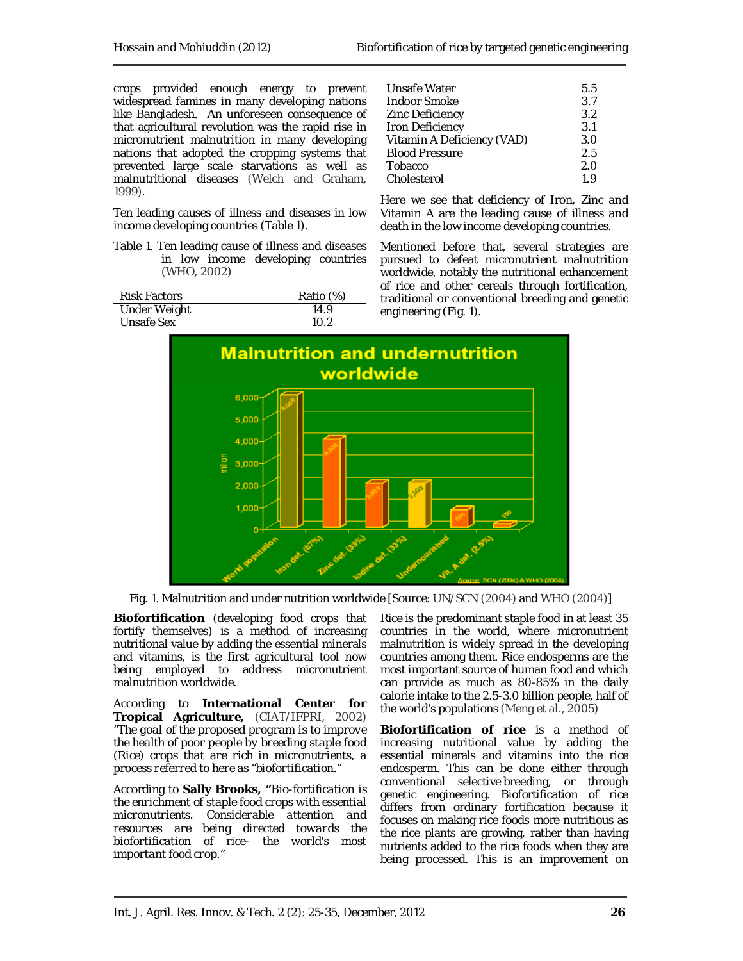crops provided enough energy to prevent widespread famines in many developing nations like Bangladesh. An unforeseen consequence of that agricultural revolution was the rapid rise in micronutrient malnutrition in many developing nations that adopted the cropping systems that prevented large scale starvations as well as malnutritional diseases (Welch and Graham, 1999).

Ten leading causes of illness and diseases in low income developing countries (Table 1).

Table 1. Ten leading cause of illness and diseases in low income developing countries (WHO, 2002)

| <b>Risk Factors</b> | Ratio (%) |
|---------------------|-----------|
| Under Weight        | 14.9      |
| Unsafe Sex          | 10.2      |

| Unsafe Water               | 5.5 |
|----------------------------|-----|
| <b>Indoor Smoke</b>        | 3.7 |
| Zinc Deficiency            | 3.2 |
| <b>Iron Deficiency</b>     | 3.1 |
| Vitamin A Deficiency (VAD) | 3.O |
| <b>Blood Pressure</b>      | 2.5 |
| Tobacco                    | 2.0 |
| Cholesterol                | 19  |

Here we see that deficiency of Iron, Zinc and Vitamin A are the leading cause of illness and death in the low income developing countries.

Mentioned before that, several strategies are pursued to defeat micronutrient malnutrition worldwide, notably the nutritional enhancement of rice and other cereals through fortification, traditional or conventional breeding and genetic engineering (Fig. 1).



Fig. 1. Malnutrition and under nutrition worldwide [Source: UN/SCN (2004) and WHO (2004)]

**Biofortification** (developing food crops that fortify themselves) is a method of increasing nutritional value by adding the essential minerals and vitamins, is the first agricultural tool now being employed to address micronutrient malnutrition worldwide.

According to **International Center for Tropical Agriculture,** (CIAT/IFPRI, 2002) *"The goal of the proposed program is to improve the health of poor people by breeding staple food (Rice) crops that are rich in micronutrients, a process referred to here as "biofortification."*

According to **Sally Brooks, "***Bio-fortification is the enrichment of staple food crops with essential micronutrients. Considerable attention and resources are being directed towards the biofortification of rice- the world's most important food crop."*

Rice is the predominant staple food in at least 35 countries in the world, where micronutrient malnutrition is widely spread in the developing countries among them. Rice endosperms are the most important source of human food and which can provide as much as 80-85% in the daily calorie intake to the 2.5-3.0 billion people, half of the world's populations (Meng *et al.,* 2005)

**Biofortification of rice** is a method of increasing nutritional value by adding the essential minerals and vitamins into the rice endosperm. This can be done either through conventional selective breeding, or through genetic engineering. Biofortification of rice differs from ordinary fortification because it focuses on making rice foods more nutritious as the rice plants are growing, rather than having nutrients added to the rice foods when they are being processed. This is an improvement on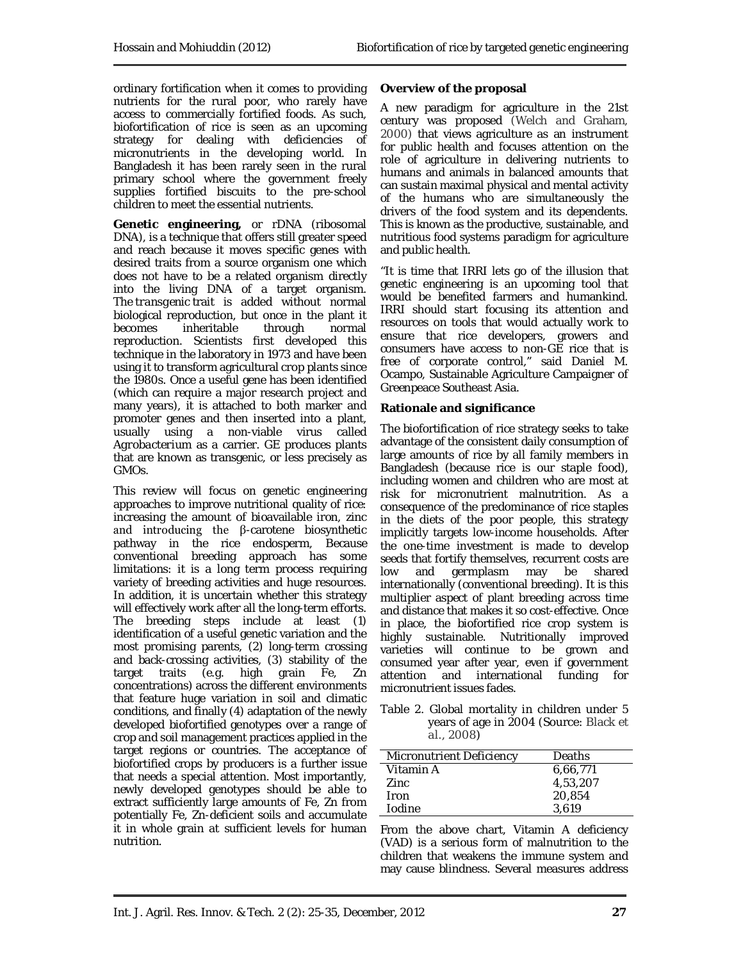ordinary fortification when it comes to providing nutrients for the rural poor, who rarely have access to commercially fortified foods. As such, biofortification of rice is seen as an upcoming strategy for dealing with deficiencies of micronutrients in the developing world. In Bangladesh it has been rarely seen in the rural primary school where the government freely supplies fortified biscuits to the pre-school children to meet the essential nutrients.

**Genetic engineering,** or rDNA (ribosomal DNA), is a technique that offers still greater speed and reach because it moves specific genes with desired traits from a source organism one which does not have to be a related organism directly into the living DNA of a target organism. The *transgenic* trait is added without normal biological reproduction, but once in the plant it<br>becomes inheritable through normal becomes inheritable through normal reproduction. Scientists first developed this technique in the laboratory in 1973 and have been using it to transform agricultural crop plants since the 1980s. Once a useful gene has been identified (which can require a major research project and many years), it is attached to both marker and promoter genes and then inserted into a plant, usually using a non-viable virus called *Agrobacterium* as a carrier. GE produces plants that are known as transgenic, or less precisely as GMOs.

This review will focus on genetic engineering approaches to improve nutritional quality of rice: increasing the amount of bioavailable iron, zinc and introducing the β-carotene biosynthetic pathway in the rice endosperm, Because conventional breeding approach has some limitations: it is a long term process requiring variety of breeding activities and huge resources. In addition, it is uncertain whether this strategy will effectively work after all the long-term efforts. The breeding steps include at least (1) identification of a useful genetic variation and the most promising parents, (2) long-term crossing and back-crossing activities, (3) stability of the target traits (e.g. high grain Fe, Zn concentrations) across the different environments that feature huge variation in soil and climatic conditions, and finally (4) adaptation of the newly developed biofortified genotypes over a range of crop and soil management practices applied in the target regions or countries. The acceptance of biofortified crops by producers is a further issue that needs a special attention. Most importantly, newly developed genotypes should be able to extract sufficiently large amounts of Fe, Zn from potentially Fe, Zn-deficient soils and accumulate it in whole grain at sufficient levels for human nutrition.

### **Overview of the proposal**

A new paradigm for agriculture in the 21st century was proposed (Welch and Graham, 2000) that views agriculture as an instrument for public health and focuses attention on the role of agriculture in delivering nutrients to humans and animals in balanced amounts that can sustain maximal physical and mental activity of the humans who are simultaneously the drivers of the food system and its dependents. This is known as the productive, sustainable, and nutritious food systems paradigm for agriculture and public health.

"It is time that IRRI lets go of the illusion that genetic engineering is an upcoming tool that would be benefited farmers and humankind. IRRI should start focusing its attention and resources on tools that would actually work to ensure that rice developers, growers and consumers have access to non-GE rice that is free of corporate control," said Daniel M. Ocampo, Sustainable Agriculture Campaigner of Greenpeace Southeast Asia.

### **Rationale and significance**

The biofortification of rice strategy seeks to take advantage of the consistent daily consumption of large amounts of rice by all family members in Bangladesh (because rice is our staple food), including women and children who are most at risk for micronutrient malnutrition. As a consequence of the predominance of rice staples in the diets of the poor people, this strategy implicitly targets low-income households. After the one-time investment is made to develop seeds that fortify themselves, recurrent costs are low and germplasm may be shared internationally (conventional breeding). It is this multiplier aspect of plant breeding across time and distance that makes it so cost-effective. Once in place, the biofortified rice crop system is highly sustainable. Nutritionally improved varieties will continue to be grown and consumed year after year, even if government attention and international funding for micronutrient issues fades.

Table 2. Global mortality in children under 5 years of age in 2004 *(*Source: Black *et al.*, 2008*)*

| Micronutrient Deficiency | Deaths   |
|--------------------------|----------|
| Vitamin A                | 6,66,771 |
| Zinc                     | 4,53,207 |
| <b>Iron</b>              | 20,854   |
| <b>I</b> odine           | 3.619    |
|                          |          |

From the above chart, Vitamin A deficiency (VAD) is a serious form of malnutrition to the children that weakens the immune system and may cause blindness. Several measures address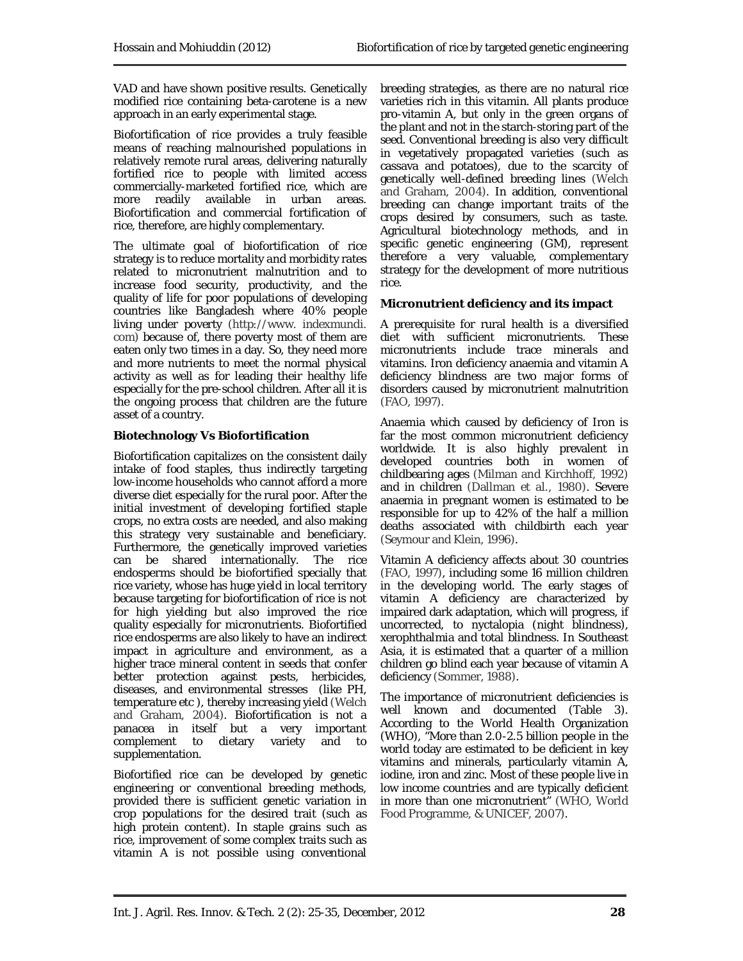VAD and have shown positive results. Genetically modified rice containing beta-carotene is a new approach in an early experimental stage.

Biofortification of rice provides a truly feasible means of reaching malnourished populations in relatively remote rural areas, delivering naturally fortified rice to people with limited access commercially-marketed fortified rice, which are more readily available in urban areas. Biofortification and commercial fortification of rice, therefore, are highly complementary.

The ultimate goal of biofortification of rice strategy is to reduce mortality and morbidity rates related to micronutrient malnutrition and to increase food security, productivity, and the quality of life for poor populations of developing countries like Bangladesh where 40% people living under poverty (http://www. indexmundi. com) because of, there poverty most of them are eaten only two times in a day. So, they need more and more nutrients to meet the normal physical activity as well as for leading their healthy life especially for the pre-school children. After all it is the ongoing process that children are the future asset of a country.

# **Biotechnology** *Vs* **Biofortification**

Biofortification capitalizes on the consistent daily intake of food staples, thus indirectly targeting low-income households who cannot afford a more diverse diet especially for the rural poor. After the initial investment of developing fortified staple crops, no extra costs are needed, and also making this strategy very sustainable and beneficiary. Furthermore, the genetically improved varieties can be shared internationally. The rice endosperms should be biofortified specially that rice variety, whose has huge yield in local territory because targeting for biofortification of rice is not for high yielding but also improved the rice quality especially for micronutrients. Biofortified rice endosperms are also likely to have an indirect impact in agriculture and environment, as a higher trace mineral content in seeds that confer better protection against pests, herbicides, diseases, and environmental stresses (like PH, temperature etc ), thereby increasing yield (Welch and Graham, 2004)*.* Biofortification is not a panacea in itself but a very important complement to dietary variety and to supplementation.

Biofortified rice can be developed by genetic engineering or conventional breeding methods, provided there is sufficient genetic variation in crop populations for the desired trait (such as high protein content). In staple grains such as rice, improvement of some complex traits such as vitamin A is not possible using conventional

breeding strategies, as there are no natural rice varieties rich in this vitamin. All plants produce pro-vitamin A, but only in the green organs of the plant and not in the starch-storing part of the seed. Conventional breeding is also very difficult in vegetatively propagated varieties (such as cassava and potatoes), due to the scarcity of genetically well-defined breeding lines (Welch and Graham, 2004). In addition, conventional breeding can change important traits of the crops desired by consumers, such as taste. Agricultural biotechnology methods, and in specific genetic engineering (GM), represent therefore a very valuable, complementary strategy for the development of more nutritious rice.

# **Micronutrient deficiency and its impact**

A prerequisite for rural health is a diversified diet with sufficient micronutrients. These micronutrients include trace minerals and vitamins. Iron deficiency anaemia and vitamin A deficiency blindness are two major forms of disorders caused by micronutrient malnutrition (FAO, 1997)*.*

Anaemia which caused by deficiency of Iron is far the most common micronutrient deficiency worldwide. It is also highly prevalent in developed countries both in women of childbearing ages (Milman and Kirchhoff, 1992) and in children (Dallman *et al.,* 1980)*.* Severe anaemia in pregnant women is estimated to be responsible for up to 42% of the half a million deaths associated with childbirth each year (Seymour and Klein, 1996).

Vitamin A deficiency affects about 30 countries (FAO, 1997)*,* including some 16 million children in the developing world. The early stages of vitamin A deficiency are characterized by impaired dark adaptation, which will progress, if uncorrected, to nyctalopia (night blindness), xerophthalmia and total blindness. In Southeast Asia, it is estimated that a quarter of a million children go blind each year because of vitamin A deficiency (Sommer, 1988)*.*

The importance of micronutrient deficiencies is well known and documented (Table 3). According to the World Health Organization (WHO), "More than 2.0-2.5 billion people in the world today are estimated to be deficient in key vitamins and minerals, particularly vitamin A, iodine, iron and zinc. Most of these people live in low income countries and are typically deficient in more than one micronutrient" (WHO, World Food Programme, & UNICEF, 2007)*.*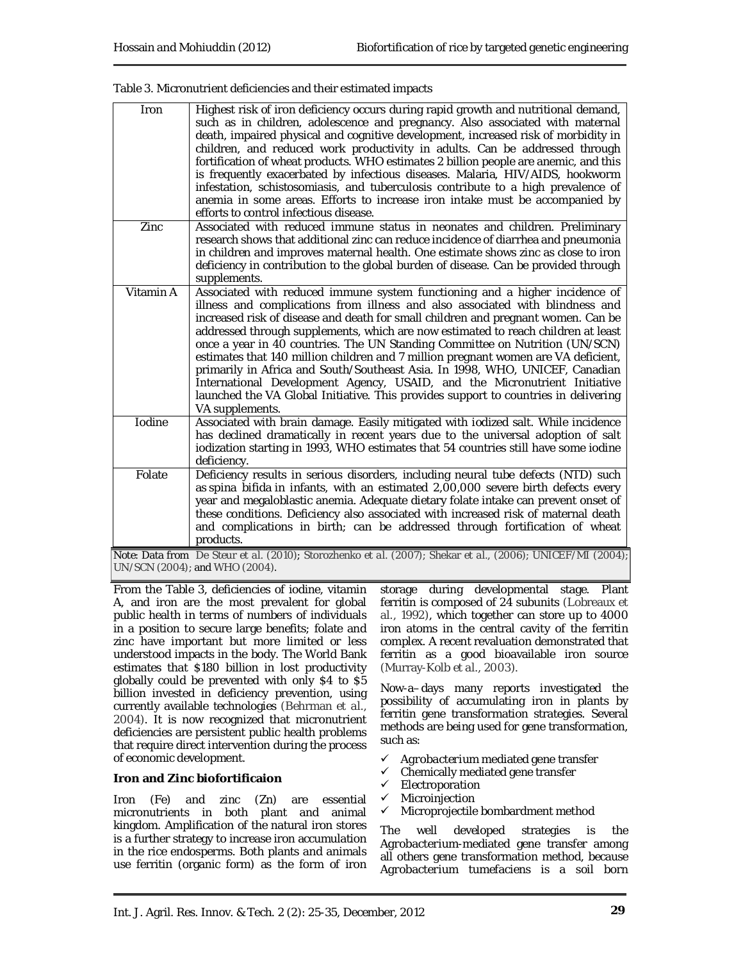| Iron      | Highest risk of iron deficiency occurs during rapid growth and nutritional demand,<br>such as in children, adolescence and pregnancy. Also associated with maternal<br>death, impaired physical and cognitive development, increased risk of morbidity in<br>children, and reduced work productivity in adults. Can be addressed through<br>fortification of wheat products. WHO estimates 2 billion people are anemic, and this<br>is frequently exacerbated by infectious diseases. Malaria, HIV/AIDS, hookworm<br>infestation, schistosomiasis, and tuberculosis contribute to a high prevalence of<br>anemia in some areas. Efforts to increase iron intake must be accompanied by<br>efforts to control infectious disease.                                                    |
|-----------|-------------------------------------------------------------------------------------------------------------------------------------------------------------------------------------------------------------------------------------------------------------------------------------------------------------------------------------------------------------------------------------------------------------------------------------------------------------------------------------------------------------------------------------------------------------------------------------------------------------------------------------------------------------------------------------------------------------------------------------------------------------------------------------|
| Zinc      | Associated with reduced immune status in neonates and children. Preliminary<br>research shows that additional zinc can reduce incidence of diarrhea and pneumonia<br>in children and improves maternal health. One estimate shows zinc as close to iron<br>deficiency in contribution to the global burden of disease. Can be provided through<br>supplements.                                                                                                                                                                                                                                                                                                                                                                                                                      |
| Vitamin A | Associated with reduced immune system functioning and a higher incidence of<br>illness and complications from illness and also associated with blindness and<br>increased risk of disease and death for small children and pregnant women. Can be<br>addressed through supplements, which are now estimated to reach children at least<br>once a year in 40 countries. The UN Standing Committee on Nutrition (UN/SCN)<br>estimates that 140 million children and 7 million pregnant women are VA deficient,<br>primarily in Africa and South/Southeast Asia. In 1998, WHO, UNICEF, Canadian<br>International Development Agency, USAID, and the Micronutrient Initiative<br>launched the VA Global Initiative. This provides support to countries in delivering<br>VA supplements. |
| Iodine    | Associated with brain damage. Easily mitigated with iodized salt. While incidence<br>has declined dramatically in recent years due to the universal adoption of salt<br>iodization starting in 1993, WHO estimates that 54 countries still have some iodine<br>deficiency.                                                                                                                                                                                                                                                                                                                                                                                                                                                                                                          |
| Folate    | Deficiency results in serious disorders, including neural tube defects (NTD) such<br>as spina bifida in infants, with an estimated 2,00,000 severe birth defects every<br>year and megaloblastic anemia. Adequate dietary folate intake can prevent onset of<br>these conditions. Deficiency also associated with increased risk of maternal death<br>and complications in birth; can be addressed through fortification of wheat<br>products.                                                                                                                                                                                                                                                                                                                                      |
|           | Note: Data from De Steur et al. (2010); Storozhenko et al. (2007); Shekar et al., (2006); UNICEF/MI (2004);<br>UN/SCN (2004); and WHO (2004).                                                                                                                                                                                                                                                                                                                                                                                                                                                                                                                                                                                                                                       |

Table 3. Micronutrient deficiencies and their estimated impacts

From the Table 3, deficiencies of iodine, vitamin A, and iron are the most prevalent for global public health in terms of numbers of individuals in a position to secure large benefits; folate and zinc have important but more limited or less understood impacts in the body. The World Bank estimates that \$180 billion in lost productivity globally could be prevented with only \$4 to \$5 billion invested in deficiency prevention, using currently available technologies (Behrman *et al.*, 2004). It is now recognized that micronutrient deficiencies are persistent public health problems that require direct intervention during the process of economic development.

### **Iron and Zinc biofortificaion**

Iron (Fe) and zinc (Zn) are essential micronutrients in both plant and animal kingdom. Amplification of the natural iron stores is a further strategy to increase iron accumulation in the rice endosperms. Both plants and animals use ferritin (organic form) as the form of iron

storage during developmental stage. Plant ferritin is composed of 24 subunits (Lobreaux *et al.,* 1992), which together can store up to 4000 iron atoms in the central cavity of the ferritin complex. A recent revaluation demonstrated that ferritin as a good bioavailable iron source (Murray-Kolb *et al.,* 2003).

Now-a–days many reports investigated the possibility of accumulating iron in plants by ferritin gene transformation strategies. Several methods are being used for gene transformation, such as:

- *Agrobacterium* mediated gene transfer
- $\checkmark$  Chemically mediated gene transfer
- $\checkmark$  Electroporation
- $\checkmark$  Microinjection
- $\checkmark$  Microprojectile bombardment method

The well developed strategies is the *Agrobacterium*-mediated gene transfer among all others gene transformation method, because *Agrobacterium tumefaciens* is a soil born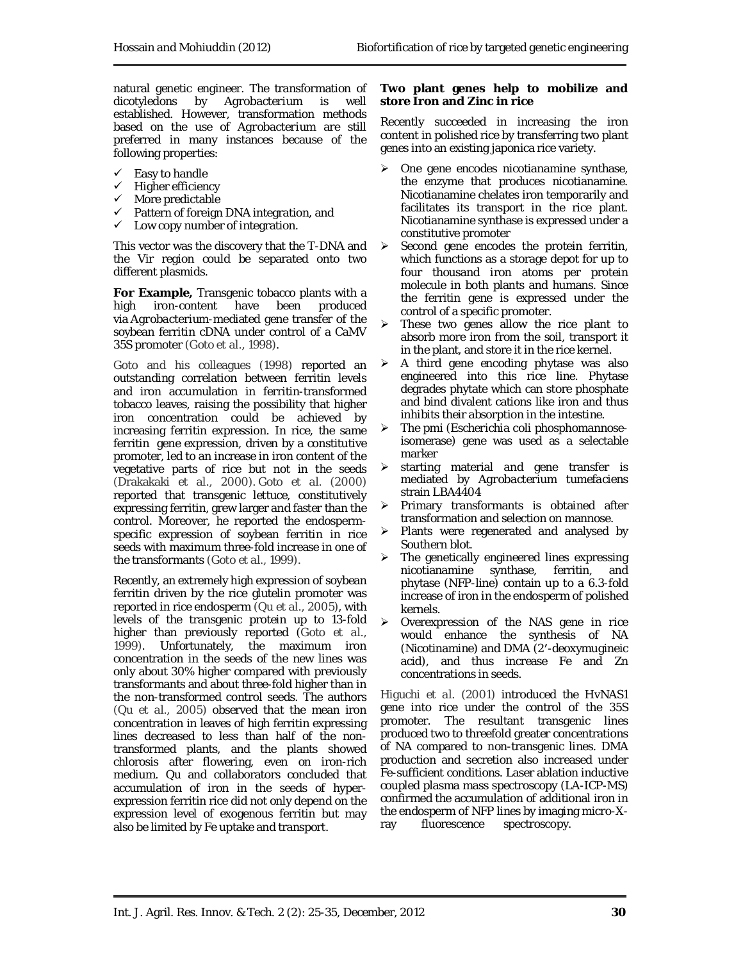natural genetic engineer. The transformation of dicotyledons by *Agrobacterium* is well established. However, transformation methods based on the use of *Agrobacterium* are still preferred in many instances because of the following properties:

- $\checkmark$  Easy to handle
- $\checkmark$  Higher efficiency
- $\checkmark$  More predictable
- $\checkmark$  Pattern of foreign DNA integration, and
- $\checkmark$  Low copy number of integration.

This vector was the discovery that the T-DNA and the Vir region could be separated onto two different plasmids.

**For Example,** Transgenic tobacco plants with a high iron-content have been produced via *Agrobacterium*-mediated gene transfer of the soybean ferritin cDNA under control of a CaMV 35S promoter (Goto *et al.,* 1998).

Goto and his colleagues (1998) reported an outstanding correlation between ferritin levels and iron accumulation in ferritin-transformed tobacco leaves, raising the possibility that higher iron concentration could be achieved by increasing ferritin expression. In rice, the same ferritin gene expression, driven by a constitutive promoter, led to an increase in iron content of the vegetative parts of rice but not in the seeds (Drakakaki *et al.*, 2000). Goto *et al.* (2000) reported that transgenic lettuce, constitutively expressing ferritin, grew larger and faster than the control. Moreover, he reported the endospermspecific expression of soybean ferritin in rice seeds with maximum three-fold increase in one of the transformants (Goto *et al.*, 1999).

Recently, an extremely high expression of soybean ferritin driven by the rice glutelin promoter was reported in rice endosperm (Qu *et al.*, 2005), with levels of the transgenic protein up to 13-fold higher than previously reported (Goto *et al.,* 1999). Unfortunately, the maximum iron concentration in the seeds of the new lines was only about 30% higher compared with previously transformants and about three-fold higher than in the non-transformed control seeds. The authors (Qu *et al.,* 2005) observed that the mean iron concentration in leaves of high ferritin expressing lines decreased to less than half of the nontransformed plants, and the plants showed chlorosis after flowering, even on iron-rich medium. Qu and collaborators concluded that accumulation of iron in the seeds of hyperexpression ferritin rice did not only depend on the expression level of exogenous ferritin but may also be limited by Fe uptake and transport.

#### **Two plant genes help to mobilize and store Iron and Zinc in rice**

Recently succeeded in increasing the iron content in polished rice by transferring two plant genes into an existing japonica rice variety.

- $\triangleright$  One gene encodes nicotianamine synthase, the enzyme that produces nicotianamine. Nicotianamine chelates iron temporarily and facilitates its transport in the rice plant. Nicotianamine synthase is expressed under a constitutive promoter
- $\triangleright$  Second gene encodes the protein ferritin, which functions as a storage depot for up to four thousand iron atoms per protein molecule in both plants and humans. Since the ferritin gene is expressed under the control of a specific promoter.
- $\triangleright$  These two genes allow the rice plant to absorb more iron from the soil, transport it in the plant, and store it in the rice kernel.
- $\triangleright$  A third gene encoding phytase was also engineered into this rice line. Phytase degrades phytate which can store phosphate and bind divalent cations like iron and thus inhibits their absorption in the intestine.
- The pmi (*Escherichia coli* phosphomannoseisomerase) gene was used as a selectable marker
- starting material and gene transfer is mediated by *Agrobacterium tumefaciens* strain LBA4404
- Primary transformants is obtained after transformation and selection on mannose.
- Plants were regenerated and analysed by Southern blot.
- $\triangleright$  The genetically engineered lines expressing nicotianamine synthase, ferritin, and phytase (NFP-line) contain up to a 6.3-fold increase of iron in the endosperm of polished kernels.
- Overexpression of the *NAS* gene in rice would enhance the synthesis of NA (Nicotinamine) and DMA (2′-deoxymugineic acid), and thus increase Fe and Zn concentrations in seeds.

Higuchi *et al.* (2001) introduced the *HvNAS1* gene into rice under the control of the *35S* promoter. The resultant transgenic lines produced two to threefold greater concentrations of NA compared to non-transgenic lines. DMA production and secretion also increased under Fe-sufficient conditions. Laser ablation inductive coupled plasma mass spectroscopy (LA-ICP-MS) confirmed the accumulation of additional iron in the endosperm of NFP lines by imaging micro-Xray fluorescence spectroscopy.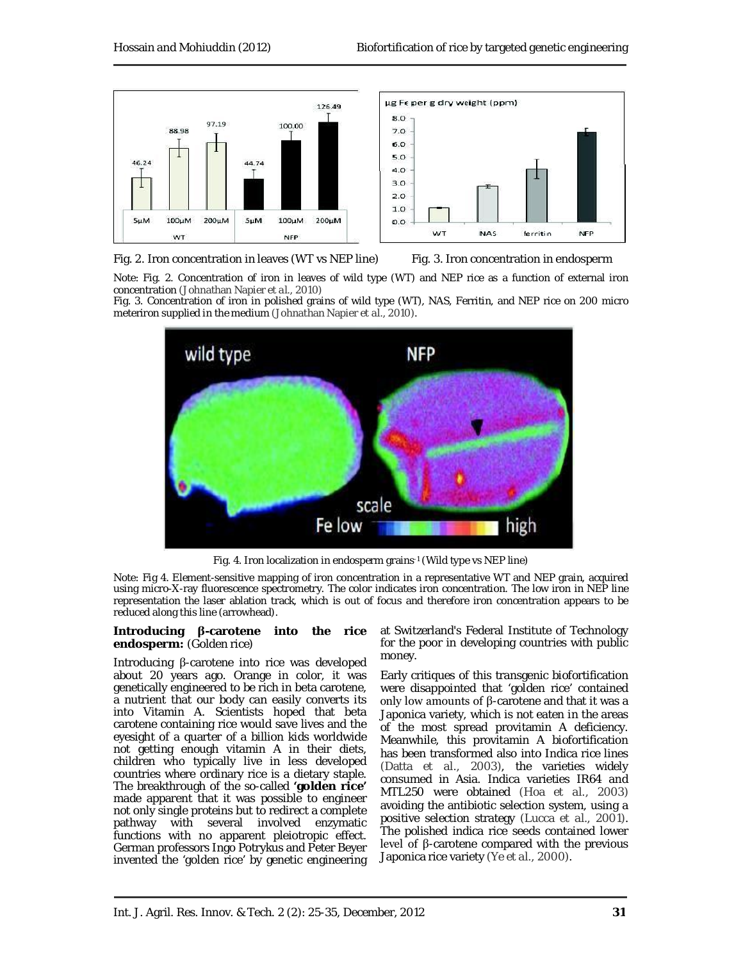



Fig. 2. Iron concentration in leaves (WT vs NEP line) Fig. 3. Iron concentration in endosperm

Note: Fig. 2. Concentration of iron in leaves of wild type (WT) and NEP rice as a function of external iron concentration (Johnathan Napier *et al.,* 2010)

Fig. 3. Concentration of iron in polished grains of wild type (WT), NAS, Ferritin, and NEP rice on 200 micro meteriron supplied in the medium (Johnathan Napier *et al*., 2010).



Fig. 4. Iron localization in endosperm grains-1 (Wild type vs NEP line)

Note: Fig 4. Element-sensitive mapping of iron concentration in a representative WT and NEP grain, acquired using micro-X-ray fluorescence spectrometry. The color indicates iron concentration. The low iron in NEP line representation the laser ablation track, which is out of focus and therefore iron concentration appears to be reduced along this line (arrowhead).

#### **Introducing β-carotene into the rice endosperm:** (Golden rice)

Introducing β-carotene into rice was developed about 20 years ago. Orange in color, it was genetically engineered to be rich in beta carotene, a nutrient that our body can easily converts its into Vitamin A. Scientists hoped that beta carotene containing rice would save lives and the eyesight of a quarter of a billion kids worldwide not getting enough vitamin A in their diets, children who typically live in less developed countries where ordinary rice is a dietary staple. The breakthrough of the so-called **'golden rice'** made apparent that it was possible to engineer not only single proteins but to redirect a complete pathway with several involved enzymatic functions with no apparent pleiotropic effect. German professors Ingo Potrykus and Peter Beyer invented the 'golden rice' by genetic engineering at Switzerland's Federal Institute of Technology for the poor in developing countries with public money.

Early critiques of this transgenic biofortification were disappointed that 'golden rice' contained only low amounts of β-carotene and that it was a Japonica variety, which is not eaten in the areas of the most spread provitamin A deficiency. Meanwhile, this provitamin A biofortification has been transformed also into Indica rice lines (Datta *et al.,* 2003), the varieties widely consumed in Asia. Indica varieties IR64 and MTL250 were obtained (Hoa *et al.,* 2003) avoiding the antibiotic selection system, using a positive selection strategy (Lucca *et al.,* 2001)*.* The polished indica rice seeds contained lower level of β-carotene compared with the previous Japonica rice variety (Ye *et al*., 2000)*.*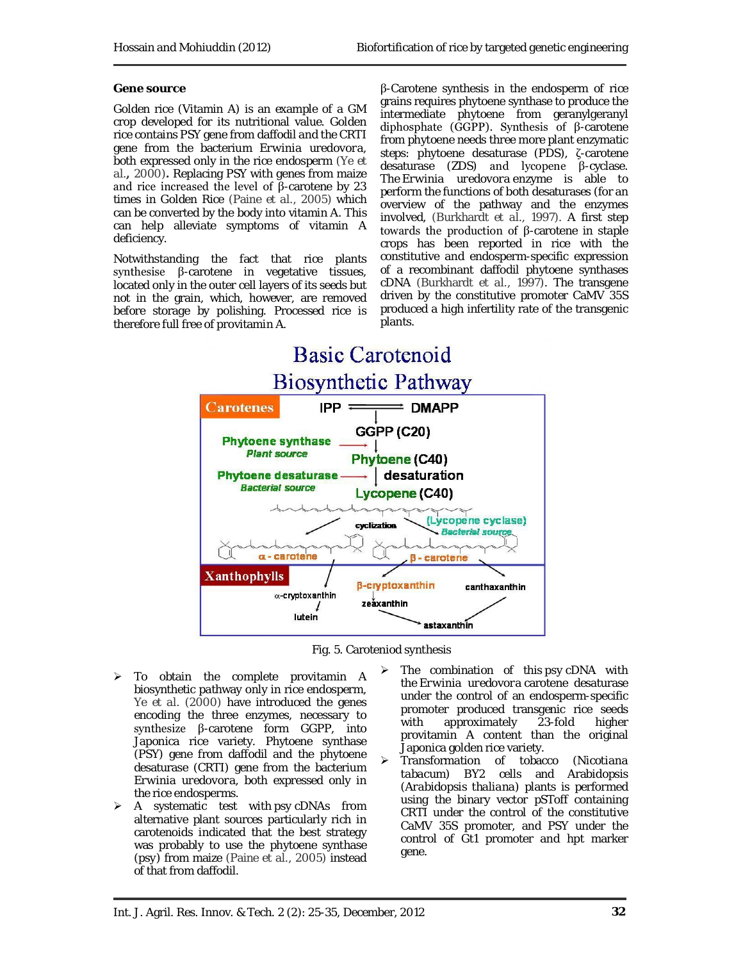#### **Gene source**

Golden rice (Vitamin A) is an example of a GM crop developed for its nutritional value. Golden rice contains PSY gene from daffodil and the CRTI gene from the bacterium *Erwinia uredovora*, both expressed only in the rice endosperm (Ye *et al.,* 2000)**.** Replacing PSY with genes from maize and rice increased the level of β-carotene by 23 times in Golden Rice (Paine *et al.*, 2005) which can be converted by the body into vitamin A. This can help alleviate symptoms of vitamin A deficiency.

Notwithstanding the fact that rice plants synthesise β-carotene in vegetative tissues, located only in the outer cell layers of its seeds but not in the grain, which, however, are removed before storage by polishing. Processed rice is therefore full free of provitamin A.

β-Carotene synthesis in the endosperm of rice grains requires phytoene synthase to produce the intermediate phytoene from geranylgeranyl diphosphate (GGPP). Synthesis of β-carotene from phytoene needs three more plant enzymatic steps: phytoene desaturase (PDS), ζ-carotene desaturase (ZDS) and lycopene β-cyclase. The *Erwinia uredovora* enzyme is able to perform the functions of both desaturases (for an overview of the pathway and the enzymes involved, (Burkhardt *et al*., 1997). A first step towards the production of β-carotene in staple crops has been reported in rice with the constitutive and endosperm-specific expression of a recombinant daffodil phytoene synthases cDNA (Burkhardt *et al*., 1997). The transgene driven by the constitutive promoter CaMV 35S produced a high infertility rate of the transgenic plants.





- > To obtain the complete provitamin A biosynthetic pathway only in rice endosperm, Ye *et al.* (2000) have introduced the genes encoding the three enzymes, necessary to synthesize β-carotene form GGPP, into Japonica rice variety. Phytoene synthase (PSY) gene from daffodil and the phytoene desaturase (CRTI) gene from the bacterium *Erwinia uredovora,* both expressed only in the rice endosperms.
- A systematic test with *psy* cDNAs from alternative plant sources particularly rich in carotenoids indicated that the best strategy was probably to use the phytoene synthase (*psy*) from maize (Paine *et al.,* 2005) instead of that from daffodil.
- The combination of this *psy* cDNA with the *Erwinia uredovora* carotene desaturase under the control of an endosperm-specific promoter produced transgenic rice seeds<br>with approximately 23-fold higher approximately 23-fold higher provitamin A content than the original Japonica golden rice variety.
- Transformation of tobacco (*Nicotiana tabacum*) BY2 cells and Arabidopsis (*Arabidopsis thaliana*) plants is performed using the binary vector pSToff containing CRTI under the control of the constitutive CaMV 35S promoter, and PSY under the control of Gt1 promoter and hpt marker gene.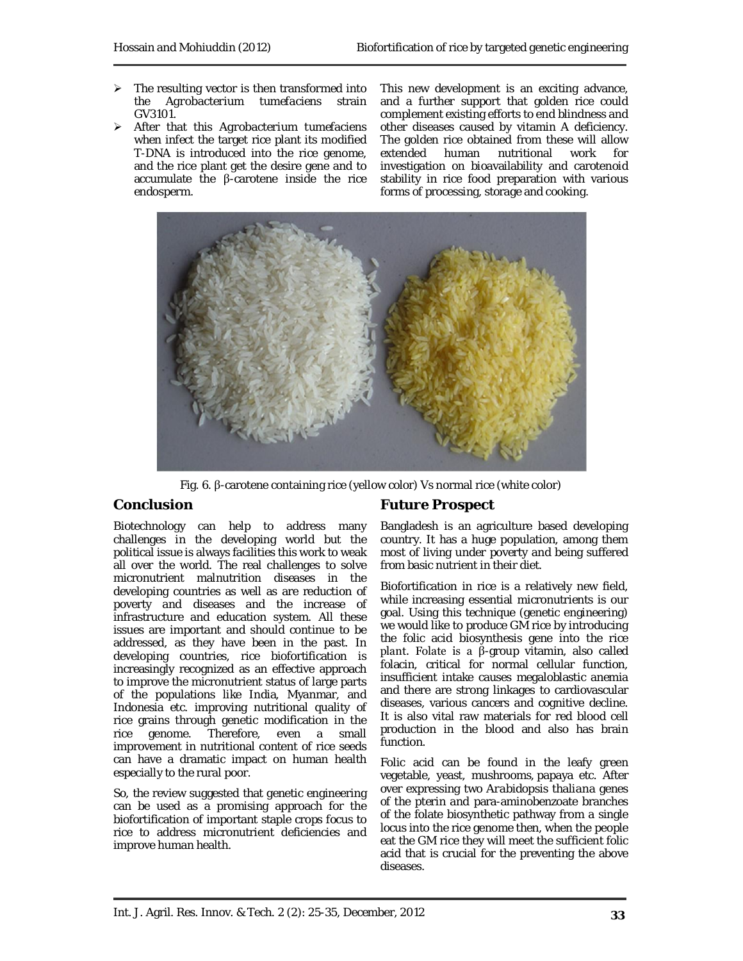- $\triangleright$  The resulting vector is then transformed into the *Agrobacterium tumefaciens* strain GV3101.
- After that this *Agrobacterium tumefaciens*  when infect the target rice plant its modified T-DNA is introduced into the rice genome, and the rice plant get the desire gene and to accumulate the β-carotene inside the rice endosperm.

This new development is an exciting advance, and a further support that golden rice could complement existing efforts to end blindness and other diseases caused by vitamin A deficiency. The golden rice obtained from these will allow extended human nutritional work for investigation on bioavailability and carotenoid stability in rice food preparation with various forms of processing, storage and cooking.



Fig. 6. β-carotene containing rice (yellow color) Vs normal rice (white color)

# **Conclusion**

Biotechnology can help to address many challenges in the developing world but the political issue is always facilities this work to weak all over the world. The real challenges to solve micronutrient malnutrition diseases in the developing countries as well as are reduction of poverty and diseases and the increase of infrastructure and education system. All these issues are important and should continue to be addressed, as they have been in the past. In developing countries, rice biofortification is increasingly recognized as an effective approach to improve the micronutrient status of large parts of the populations like India, Myanmar, and Indonesia etc. improving nutritional quality of rice grains through genetic modification in the rice genome. Therefore, even a small improvement in nutritional content of rice seeds can have a dramatic impact on human health especially to the rural poor.

So, the review suggested that genetic engineering can be used as a promising approach for the biofortification of important staple crops focus to rice to address micronutrient deficiencies and improve human health.

# **Future Prospect**

Bangladesh is an agriculture based developing country. It has a huge population, among them most of living under poverty and being suffered from basic nutrient in their diet.

Biofortification in rice is a relatively new field, while increasing essential micronutrients is our goal. Using this technique (genetic engineering) we would like to produce GM rice by introducing the folic acid biosynthesis gene into the rice plant. Folate is a β-group vitamin, also called folacin, critical for normal cellular function, insufficient intake causes megaloblastic anemia and there are strong linkages to cardiovascular diseases, various cancers and cognitive decline. It is also vital raw materials for red blood cell production in the blood and also has brain function.

Folic acid can be found in the leafy green vegetable, yeast, mushrooms, papaya etc. After over expressing two *Arabidopsis thaliana* genes of the pterin and para-aminobenzoate branches of the folate biosynthetic pathway from a single locus into the rice genome then, when the people eat the GM rice they will meet the sufficient folic acid that is crucial for the preventing the above diseases.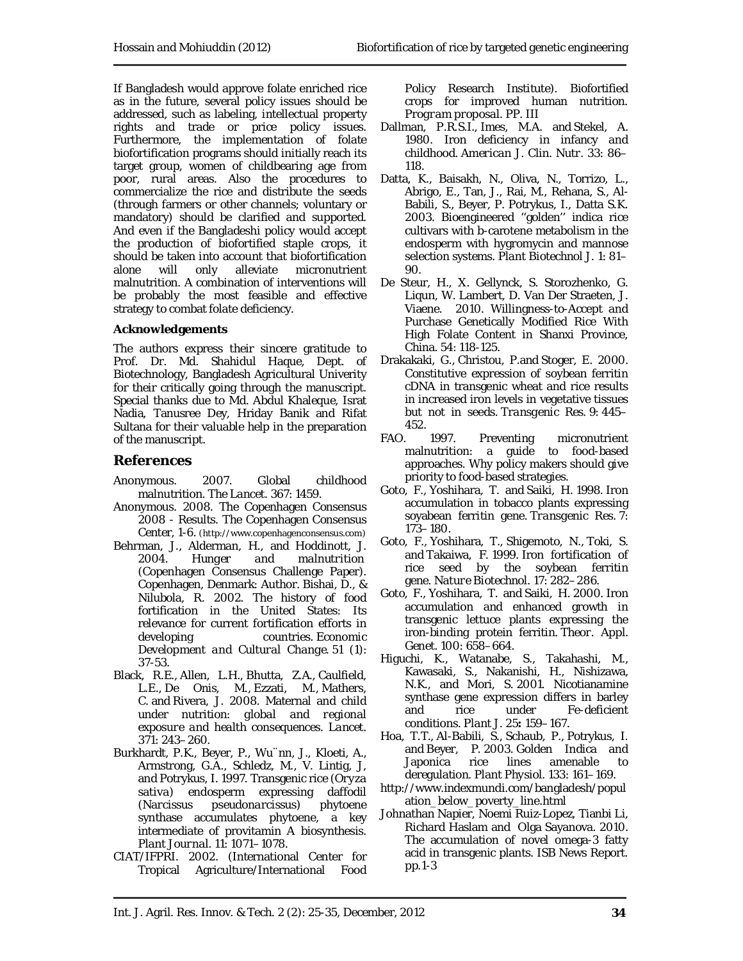If Bangladesh would approve folate enriched rice as in the future, several policy issues should be addressed, such as labeling, intellectual property rights and trade or price policy issues. Furthermore, the implementation of folate biofortification programs should initially reach its target group, women of childbearing age from poor, rural areas. Also the procedures to commercialize the rice and distribute the seeds (through farmers or other channels; voluntary or mandatory) should be clarified and supported. And even if the Bangladeshi policy would accept the production of biofortified staple crops, it should be taken into account that biofortification alone will only alleviate micronutrient malnutrition. A combination of interventions will be probably the most feasible and effective strategy to combat folate deficiency.

#### **Acknowledgements**

The authors express their sincere gratitude to Prof. Dr. Md. Shahidul Haque, Dept. of Biotechnology, Bangladesh Agricultural Univerity for their critically going through the manuscript. Special thanks due to Md. Abdul Khaleque, Israt Nadia, Tanusree Dey, Hriday Banik and Rifat Sultana for their valuable help in the preparation of the manuscript.

# **References**

- Anonymous. 2007. Global childhood malnutrition. *The Lancet.* 367: 1459.
- Anonymous. 2008. The Copenhagen Consensus 2008 - Results. The Copenhagen Consensus Center, 1-6. (http://www.copenhagenconsensus.com)
- Behrman, J., Alderman, H., and Hoddinott, J. 2004. *Hunger and malnutrition* (Copenhagen Consensus Challenge Paper). Copenhagen, Denmark: Author. Bishai, D., & Nilubola, R. 2002. The history of food fortification in the United States: Its relevance for current fortification efforts in developing countries. *Economic Development and Cultural Change*. 51 (1): 37-53.
- Black, R.E., Allen, L.H., Bhutta, Z.A., Caulfield, L.E., De Onis, M., Ezzati, M., Mathers, C. and Rivera, J. 2008. Maternal and child under nutrition: *global and regional exposure and health consequences*. *Lancet*. 371: 243–260.
- Burkhardt, P.K., Beyer, P., Wu¨nn, J., Kloeti, A., Armstrong, G.A., Schledz, M., V. Lintig, J, and Potrykus, I. 1997. Transgenic rice (*Oryza*  sativa) endosperm expressing daffodil<br>(Narcissus *pseudonarcissus*) phytoene (*Narcissus pseudonarcissus*) synthase accumulates phytoene, a key intermediate of provitamin A biosynthesis. *Plant Journal.* 11: 1071–1078.
- CIAT/IFPRI. 2002. (International Center for Tropical Agriculture/International Food

Policy Research Institute). Biofortified crops for improved human nutrition. *Program proposal.* PP. III

- Dallman, P.R.S.I., Imes, M.A. and Stekel, A. 1980. Iron deficiency in infancy and childhood. *American J. Clin. Nutr.* 33: 86– 118.
- Datta, K., Baisakh, N., Oliva, N., Torrizo, L., Abrigo, E., Tan, J., Rai, M., Rehana, S., Al-Babili, S., Beyer, P. Potrykus, I., Datta S.K. 2003. Bioengineered ''golden'' indica rice cultivars with b-carotene metabolism in the endosperm with hygromycin and mannose selection systems. *Plant Biotechnol J*. 1: 81– 90.
- De Steur, H., X. Gellynck, S. Storozhenko, G. Liqun, W. Lambert, D. Van Der Straeten, J. Viaene. 2010. Willingness-to-Accept and Purchase Genetically Modified Rice With High Folate Content in Shanxi Province, China. 54: 118-125.
- Drakakaki, G., Christou, P.and Stoger, E. 2000. Constitutive expression of soybean ferritin cDNA in transgenic wheat and rice results in increased iron levels in vegetative tissues but not in seeds. *Transgenic Res.* 9: 445– 452.
- FAO. 1997. Preventing micronutrient malnutrition: a guide to food-based approaches. Why policy makers should give priority to food-based strategies.
- Goto, F., Yoshihara, T. and Saiki, H. 1998. Iron accumulation in tobacco plants expressing soyabean ferritin gene. *Transgenic Res.* 7: 173–180.
- Goto, F., Yoshihara, T., Shigemoto, N., Toki, S. and Takaiwa, F. 1999. Iron fortification of rice seed by the soybean ferritin gene. *Nature Biotechnol.* 17: 282–286.
- Goto, F., Yoshihara, T. and Saiki, H. 2000. Iron accumulation and enhanced growth in transgenic lettuce plants expressing the iron-binding protein ferritin. *Theor. Appl. Genet.* 100: 658–664.
- Higuchi, K., Watanabe, S., Takahashi, M., Kawasaki, S., Nakanishi, H., Nishizawa, N.K., and Mori, S. 2001. Nicotianamine synthase gene expression differs in barley and rice under Fe-deficient conditions. *Plant J.* 25**:** 159–167.
- Hoa, T.T., Al-Babili, S., Schaub, P., Potrykus, I. and Beyer, P. 2003. Golden Indica and Japonica rice lines amenable to deregulation. *Plant Physiol.* 133: 161–169.
- http://www.indexmundi.com/bangladesh/popul ation\_below\_poverty\_line.html
- Johnathan Napier, Noemi Ruiz-Lopez, Tianbi Li, Richard Haslam and Olga Sayanova. 2010. The accumulation of novel omega-3 fatty acid in transgenic plants. ISB News Report. pp.1-3